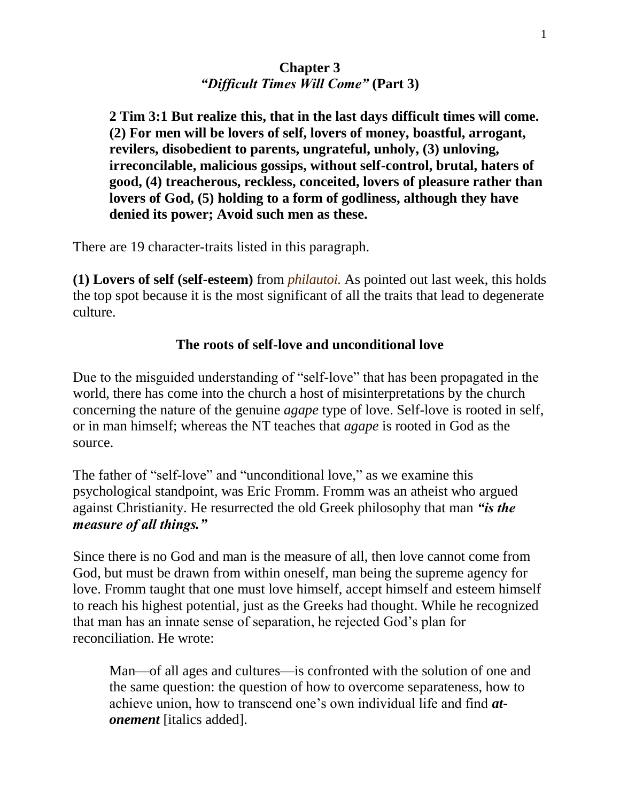# **Chapter 3** *"Difficult Times Will Come"* **(Part 3)**

**2 Tim 3:1 But realize this, that in the last days difficult times will come. (2) For men will be lovers of self, lovers of money, boastful, arrogant, revilers, disobedient to parents, ungrateful, unholy, (3) unloving, irreconcilable, malicious gossips, without self-control, brutal, haters of good, (4) treacherous, reckless, conceited, lovers of pleasure rather than lovers of God, (5) holding to a form of godliness, although they have denied its power; Avoid such men as these.**

There are 19 character-traits listed in this paragraph.

**(1) Lovers of self (self-esteem)** from *philautoi.* As pointed out last week, this holds the top spot because it is the most significant of all the traits that lead to degenerate culture.

### **The roots of self-love and unconditional love**

Due to the misguided understanding of "self-love" that has been propagated in the world, there has come into the church a host of misinterpretations by the church concerning the nature of the genuine *agape* type of love. Self-love is rooted in self, or in man himself; whereas the NT teaches that *agape* is rooted in God as the source.

The father of "self-love" and "unconditional love," as we examine this psychological standpoint, was Eric Fromm. Fromm was an atheist who argued against Christianity. He resurrected the old Greek philosophy that man *"is the measure of all things."*

Since there is no God and man is the measure of all, then love cannot come from God, but must be drawn from within oneself, man being the supreme agency for love. Fromm taught that one must love himself, accept himself and esteem himself to reach his highest potential, just as the Greeks had thought. While he recognized that man has an innate sense of separation, he rejected God's plan for reconciliation. He wrote:

Man—of all ages and cultures—is confronted with the solution of one and the same question: the question of how to overcome separateness, how to achieve union, how to transcend one's own individual life and find *atonement* [italics added].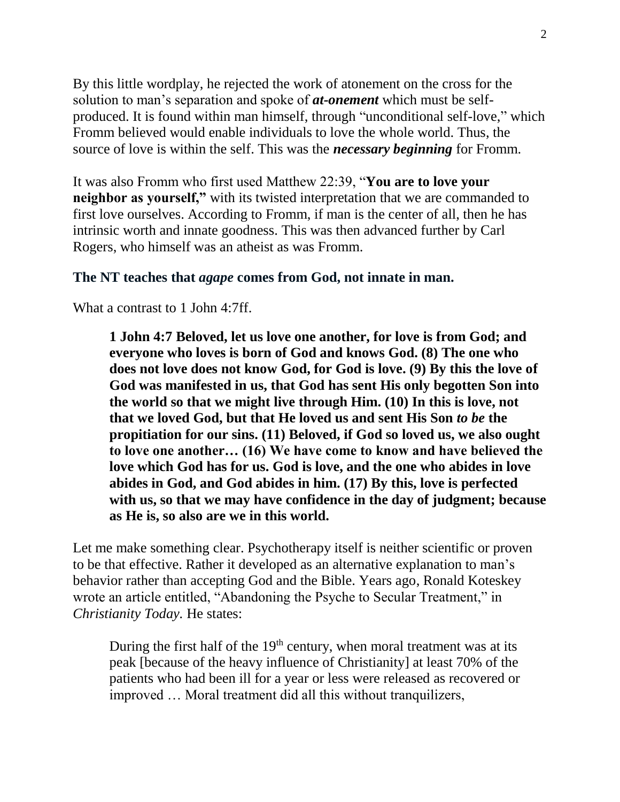By this little wordplay, he rejected the work of atonement on the cross for the solution to man's separation and spoke of *at-onement* which must be selfproduced. It is found within man himself, through "unconditional self-love," which Fromm believed would enable individuals to love the whole world. Thus, the source of love is within the self. This was the *necessary beginning* for Fromm.

It was also Fromm who first used Matthew 22:39, "**You are to love your neighbor as yourself,"** with its twisted interpretation that we are commanded to first love ourselves. According to Fromm, if man is the center of all, then he has intrinsic worth and innate goodness. This was then advanced further by Carl Rogers, who himself was an atheist as was Fromm.

#### **The NT teaches that** *agape* **comes from God, not innate in man.**

What a contrast to 1 John 4:7ff.

**1 John 4:7 Beloved, let us love one another, for love is from God; and everyone who loves is born of God and knows God. (8) The one who does not love does not know God, for God is love. (9) By this the love of God was manifested in us, that God has sent His only begotten Son into the world so that we might live through Him. (10) In this is love, not that we loved God, but that He loved us and sent His Son** *to be* **the propitiation for our sins. (11) Beloved, if God so loved us, we also ought to love one another… (16) We have come to know and have believed the love which God has for us. God is love, and the one who abides in love abides in God, and God abides in him. (17) By this, love is perfected with us, so that we may have confidence in the day of judgment; because as He is, so also are we in this world.**

Let me make something clear. Psychotherapy itself is neither scientific or proven to be that effective. Rather it developed as an alternative explanation to man's behavior rather than accepting God and the Bible. Years ago, Ronald Koteskey wrote an article entitled, "Abandoning the Psyche to Secular Treatment," in *Christianity Today.* He states:

During the first half of the  $19<sup>th</sup>$  century, when moral treatment was at its peak [because of the heavy influence of Christianity] at least 70% of the patients who had been ill for a year or less were released as recovered or improved … Moral treatment did all this without tranquilizers,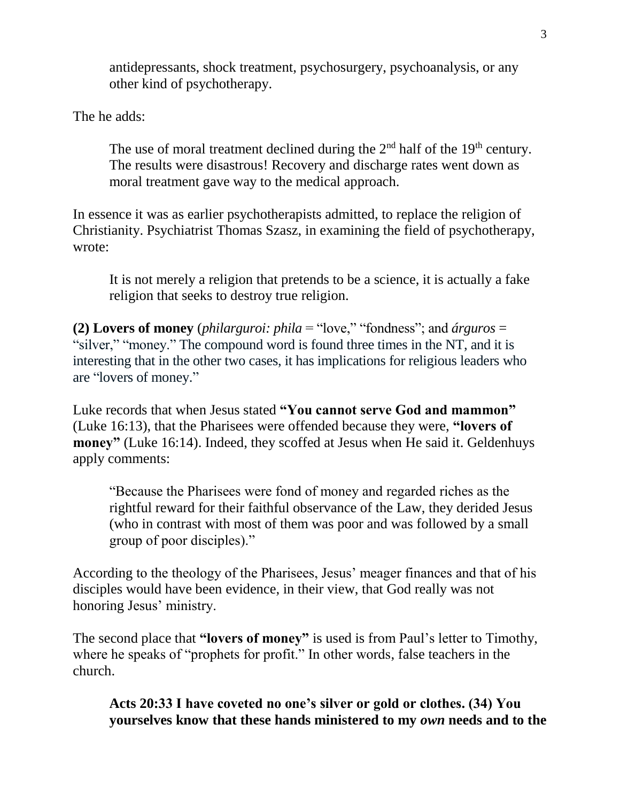antidepressants, shock treatment, psychosurgery, psychoanalysis, or any other kind of psychotherapy.

The he adds:

The use of moral treatment declined during the  $2<sup>nd</sup>$  half of the 19<sup>th</sup> century. The results were disastrous! Recovery and discharge rates went down as moral treatment gave way to the medical approach.

In essence it was as earlier psychotherapists admitted, to replace the religion of Christianity. Psychiatrist Thomas Szasz, in examining the field of psychotherapy, wrote:

It is not merely a religion that pretends to be a science, it is actually a fake religion that seeks to destroy true religion.

**(2) Lovers of money** (*philarguroi: phila* = "love," "fondness"; and *árguros* = "silver," "money." The compound word is found three times in the NT, and it is interesting that in the other two cases, it has implications for religious leaders who are "lovers of money."

Luke records that when Jesus stated **"You cannot serve God and mammon"**  (Luke 16:13), that the Pharisees were offended because they were, **"lovers of money"** (Luke 16:14). Indeed, they scoffed at Jesus when He said it. Geldenhuys apply comments:

"Because the Pharisees were fond of money and regarded riches as the rightful reward for their faithful observance of the Law, they derided Jesus (who in contrast with most of them was poor and was followed by a small group of poor disciples)."

According to the theology of the Pharisees, Jesus' meager finances and that of his disciples would have been evidence, in their view, that God really was not honoring Jesus' ministry.

The second place that **"lovers of money"** is used is from Paul's letter to Timothy, where he speaks of "prophets for profit." In other words, false teachers in the church.

**Acts 20:33 I have coveted no one's silver or gold or clothes. (34) You yourselves know that these hands ministered to my** *own* **needs and to the**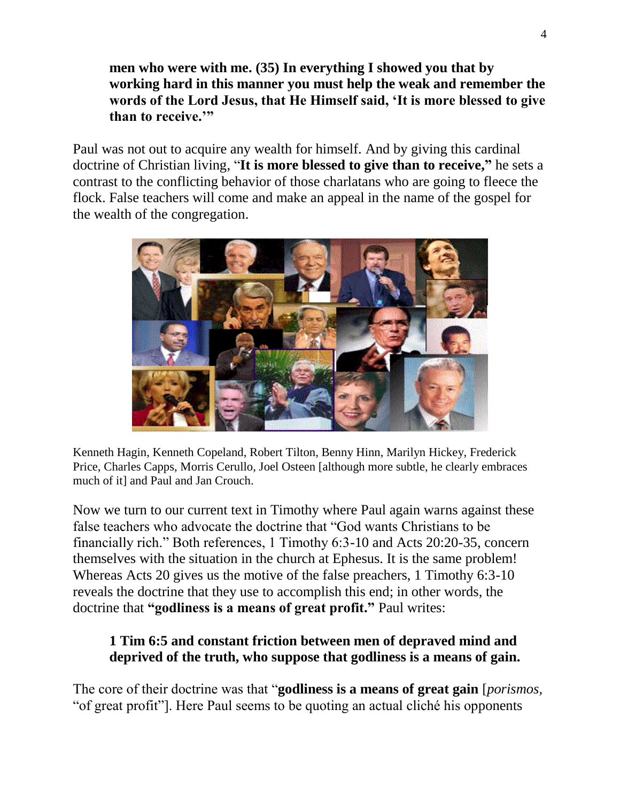**men who were with me. (35) In everything I showed you that by working hard in this manner you must help the weak and remember the words of the Lord Jesus, that He Himself said, 'It is more blessed to give than to receive.'"**

Paul was not out to acquire any wealth for himself. And by giving this cardinal doctrine of Christian living, "**It is more blessed to give than to receive, "** he sets a contrast to the conflicting behavior of those charlatans who are going to fleece the flock. False teachers will come and make an appeal in the name of the gospel for the wealth of the congregation.



Kenneth Hagin, Kenneth Copeland, Robert Tilton, Benny Hinn, Marilyn Hickey, Frederick Price, Charles Capps, Morris Cerullo, Joel Osteen [although more subtle, he clearly embraces much of it] and Paul and Jan Crouch.

Now we turn to our current text in Timothy where Paul again warns against these false teachers who advocate the doctrine that "God wants Christians to be financially rich." Both references, 1 Timothy 6:3-10 and Acts 20:20-35, concern themselves with the situation in the church at Ephesus. It is the same problem! Whereas Acts 20 gives us the motive of the false preachers, 1 Timothy 6:3-10 reveals the doctrine that they use to accomplish this end; in other words, the doctrine that **"godliness is a means of great profit."** Paul writes:

# **1 Tim 6:5 and constant friction between men of depraved mind and deprived of the truth, who suppose that godliness is a means of gain.**

The core of their doctrine was that "**godliness is a means of great gain** [*porismos,*  "of great profit"]. Here Paul seems to be quoting an actual cliché his opponents